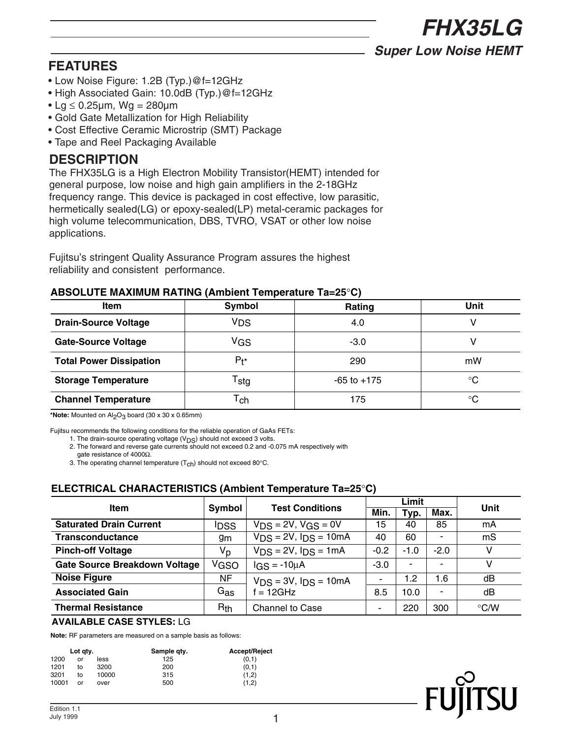*FHX35LG*

*Super Low Noise HEMT*

# **FEATURES**

- Low Noise Figure: 1.2B (Typ.)@f=12GHz
- High Associated Gain: 10.0dB (Typ.)@f=12GHz
- Lg  $\leq$  0.25 $\mu$ m, Wg = 280 $\mu$ m
- Gold Gate Metallization for High Reliability
- Cost Effective Ceramic Microstrip (SMT) Package
- Tape and Reel Packaging Available

## **DESCRIPTION**

The FHX35LG is a High Electron Mobility Transistor(HEMT) intended for general purpose, low noise and high gain amplifiers in the 2-18GHz frequency range. This device is packaged in cost effective, low parasitic, hermetically sealed(LG) or epoxy-sealed(LP) metal-ceramic packages for high volume telecommunication, DBS, TVRO, VSAT or other low noise applications.

Fujitsu's stringent Quality Assurance Program assures the highest reliability and consistent performance.

### **ABSOLUTE MAXIMUM RATING (Ambient Temperature Ta=25**°**C)**

| <b>Item</b>                    | Symbol                      | Rating          | Unit |  |
|--------------------------------|-----------------------------|-----------------|------|--|
| <b>Drain-Source Voltage</b>    | VDS                         | 4.0             |      |  |
| <b>Gate-Source Voltage</b>     | VGS                         | -3.0            |      |  |
| <b>Total Power Dissipation</b> | $P_{\uparrow}$              | 290             | mW   |  |
| <b>Storage Temperature</b>     | $\mathsf{r}_{\mathsf{stg}}$ | $-65$ to $+175$ | °C   |  |
| <b>Channel Temperature</b>     | $\mathsf{r}_{\mathsf{ch}}$  | 175             | °C   |  |

\*Note: Mounted on Al<sub>2</sub>O<sub>3</sub> board (30 x 30 x 0.65mm)

Fujitsu recommends the following conditions for the reliable operation of GaAs FETs:

1. The drain-source operating voltage  $(V_{DS})$  should not exceed 3 volts.

2. The forward and reverse gate currents should not exceed 0.2 and -0.075 mA respectively with

gate resistance of 4000Ω.

3. The operating channel temperature  $(T_{ch})$  should not exceed 80°C.

## **ELECTRICAL CHARACTERISTICS (Ambient Temperature Ta=25**°**C)**

|                                      |                 |                           | Limit  |                |                |                    |  |
|--------------------------------------|-----------------|---------------------------|--------|----------------|----------------|--------------------|--|
| <b>Item</b>                          | Symbol          | <b>Test Conditions</b>    | Min.   | Typ.           | Max.           | Unit               |  |
| <b>Saturated Drain Current</b>       | <b>IDSS</b>     | $VDS = 2V$ , $VGS = 0V$   | 15     | 40             | 85             | mA                 |  |
| <b>Transconductance</b>              | 9m              | $VDS = 2V$ , $IDS = 10mA$ | 40     | 60             |                | mS                 |  |
| <b>Pinch-off Voltage</b>             | Vp              | $VDS = 2V$ , $IDS = 1mA$  | $-0.2$ | $-1.0$         | $-2.0$         | v                  |  |
| <b>Gate Source Breakdown Voltage</b> | VGSO            | $IGS = -10\mu A$          | $-3.0$ | $\blacksquare$ |                | v                  |  |
| <b>Noise Figure</b>                  | NF              | $VDS = 3V$ , $IDS = 10mA$ | ٠      | 1.2            | 1.6            | dB                 |  |
| <b>Associated Gain</b>               | $G_{\bf a s}$   | $= 12$ GHz                | 8.5    | 10.0           | $\blacksquare$ | dB                 |  |
| <b>Thermal Resistance</b>            | R <sub>th</sub> | <b>Channel to Case</b>    | ۰      | 220            | 300            | $\rm ^{\circ}$ C/W |  |

#### **AVAILABLE CASE STYLES:** LG

**Note:** RF parameters are measured on a sample basis as follows:

| Lot atv. |    |       | Sample qty. | <b>Accept/Reject</b> |  |  |
|----------|----|-------|-------------|----------------------|--|--|
| 1200     | or | less  | 125         | (0,1)                |  |  |
| 1201     | to | 3200  | 200         | (0,1)                |  |  |
| 3201     | to | 10000 | 315         | (1,2)                |  |  |
| 10001    | or | over  | 500         | (1.2)                |  |  |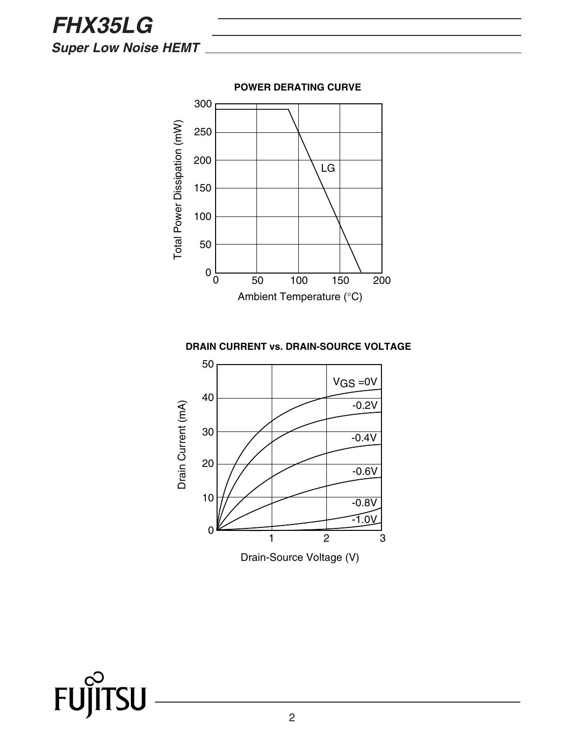*FHX35LG Super Low Noise HEMT*





FUJIT **TSU**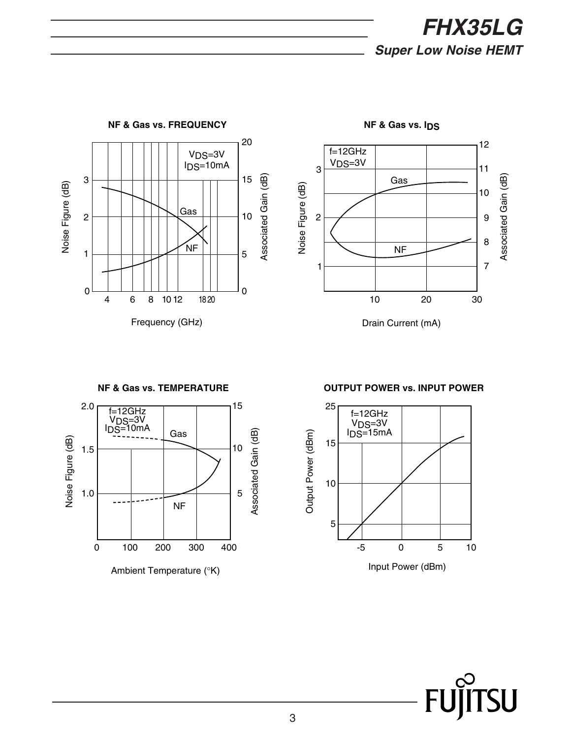



**NF & Gas vs. IDS**

Drain Current (mA)

2.0 15 f=12GHz  $V<sub>DS=3V</sub>$  $I_{DS}=10mA$ Associated Gain (dB) Gas Associated Gain (dB) Noise Figure (dB) Noise Figure (dB) 10 1.5 5 1.0 NF 0 100 200 300 400 Ambient Temperature (°K)

**NF & Gas vs. TEMPERATURE**

**OUTPUT POWER vs. INPUT POWER**

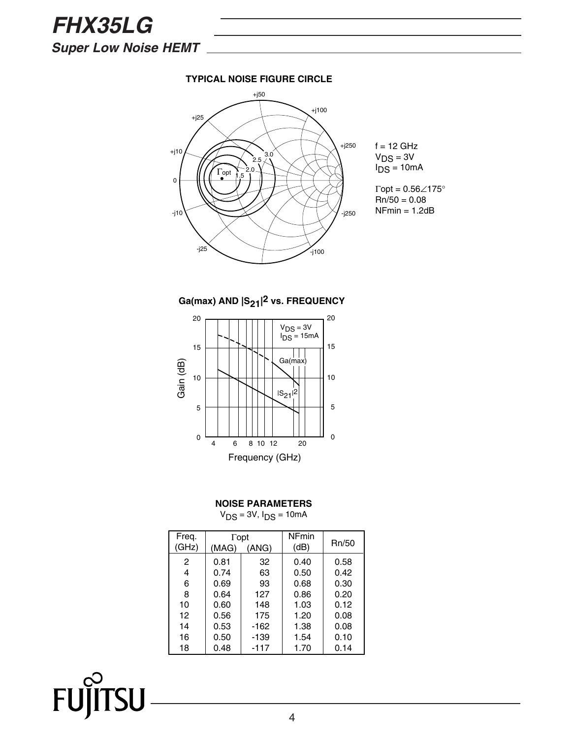*FHX35LG Super Low Noise HEMT*

FUJIT.

**TSU** 

#### **TYPICAL NOISE FIGURE CIRCLE**







#### **NOISE PARAMETERS**

 $V_{DS} = 3V$ ,  $I_{DS} = 10mA$ 

| Freq.<br>(GHz) | $\Gamma$ opt<br>(MAG)<br>(ANG) |        | <b>NFmin</b><br>(dB) | Rn/50 |
|----------------|--------------------------------|--------|----------------------|-------|
| 2              | 0.81                           | 32     | 0.40                 | 0.58  |
| 4              | 0.74                           | 63     | 0.50                 | 0.42  |
| 6              | 0.69                           | 93     | 0.68                 | 0.30  |
| 8              | 0.64                           | 127    | 0.86                 | 0.20  |
| 10             | 0.60                           | 148    | 1.03                 | 0.12  |
| 12             | 0.56                           | 175    | 1.20                 | 0.08  |
| 14             | 0.53                           | $-162$ | 1.38                 | 0.08  |
| 16             | 0.50                           | $-139$ | 1.54                 | 0.10  |
| 18             | 0.48                           | $-117$ | 1.70                 | 0.14  |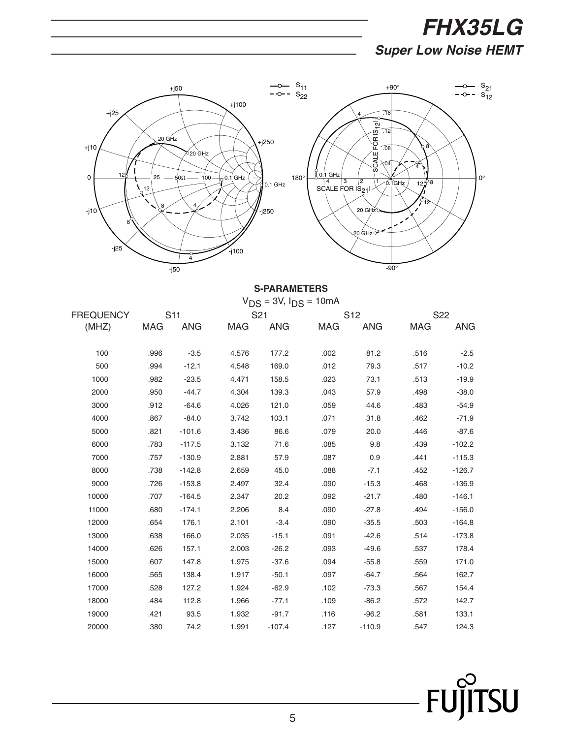# *FHX35LG Super Low Noise HEMT*



#### **S-PARAMETERS**

|                  |      |          |                 | $V_{DS} = 3V$ , $I_{DS} = 10mA$ |                 |          |                 |            |
|------------------|------|----------|-----------------|---------------------------------|-----------------|----------|-----------------|------------|
| <b>FREQUENCY</b> | S11  |          | S <sub>21</sub> |                                 | S <sub>12</sub> |          | S <sub>22</sub> |            |
| (MHZ)            |      | MAG ANG  | MAG             |                                 | ANG MAG         | ANG      | MAG             | <b>ANG</b> |
|                  |      |          |                 |                                 |                 |          |                 |            |
| 100              | .996 | $-3.5$   | 4.576           | 177.2                           | .002            | 81.2     | .516            | $-2.5$     |
| 500              | .994 | $-12.1$  | 4.548           | 169.0                           | .012            | 79.3     | .517            | $-10.2$    |
| 1000             | .982 | $-23.5$  | 4.471           | 158.5                           | .023            | 73.1     | .513            | $-19.9$    |
| 2000             | .950 | $-44.7$  | 4.304           | 139.3                           | .043            | 57.9     | .498            | $-38.0$    |
| 3000             | .912 | $-64.6$  | 4.026           | 121.0                           | .059            | 44.6     | .483            | $-54.9$    |
| 4000             | .867 | $-84.0$  | 3.742           | 103.1                           | .071            | 31.8     | .462            | $-71.9$    |
| 5000             | .821 | $-101.6$ | 3.436           | 86.6                            | .079            | 20.0     | .446            | $-87.6$    |
| 6000             | .783 | $-117.5$ | 3.132           | 71.6                            | .085            | 9.8      | .439            | $-102.2$   |
| 7000             | .757 | $-130.9$ | 2.881           | 57.9                            | .087            | 0.9      | .441            | $-115.3$   |
| 8000             | .738 | $-142.8$ | 2.659           | 45.0                            | .088            | $-7.1$   | .452            | $-126.7$   |
| 9000             | .726 | $-153.8$ | 2.497           | 32.4                            | .090            | $-15.3$  | .468            | $-136.9$   |
| 10000            | .707 | $-164.5$ | 2.347           | 20.2                            | .092            | $-21.7$  | .480            | $-146.1$   |
| 11000            | .680 | $-174.1$ | 2.206           | 8.4                             | .090            | $-27.8$  | .494            | $-156.0$   |
| 12000            | .654 | 176.1    | 2.101           | $-3.4$                          | .090            | $-35.5$  | .503            | $-164.8$   |
| 13000            | .638 | 166.0    | 2.035           | $-15.1$                         | .091            | $-42.6$  | .514            | $-173.8$   |
| 14000            | .626 | 157.1    | 2.003           | $-26.2$                         | .093            | $-49.6$  | .537            | 178.4      |
| 15000            | .607 | 147.8    | 1.975           | $-37.6$                         | .094            | $-55.8$  | .559            | 171.0      |
| 16000            | .565 | 138.4    | 1.917           | $-50.1$                         | .097            | $-64.7$  | .564            | 162.7      |
| 17000            | .528 | 127.2    | 1.924           | $-62.9$                         | .102            | $-73.3$  | .567            | 154.4      |
| 18000            | .484 | 112.8    | 1.966           | $-77.1$                         | .109            | $-86.2$  | .572            | 142.7      |
| 19000            | .421 | 93.5     | 1.932           | $-91.7$                         | .116            | $-96.2$  | .581            | 133.1      |
| 20000            | .380 | 74.2     | 1.991           | $-107.4$                        | .127            | $-110.9$ | .547            | 124.3      |